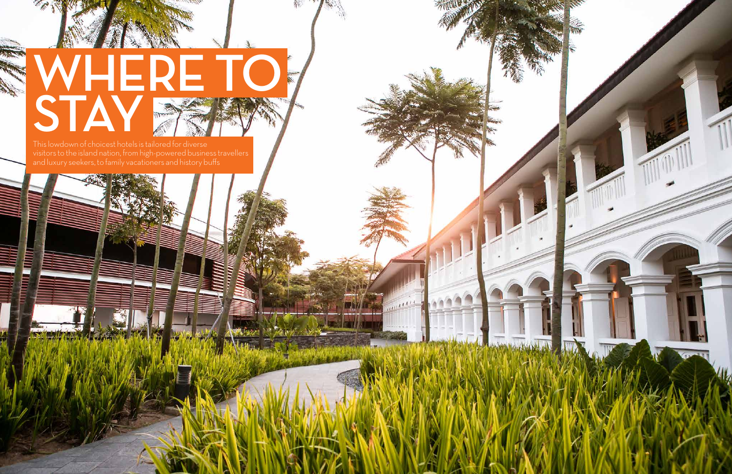# **WHERE TO STAY**

This lowdown of choicest hotels is tailored for diverse visitors to the island nation, from high-powered business travellers and luxury seekers, to family vacationers and history buffs



*COLLAGALL*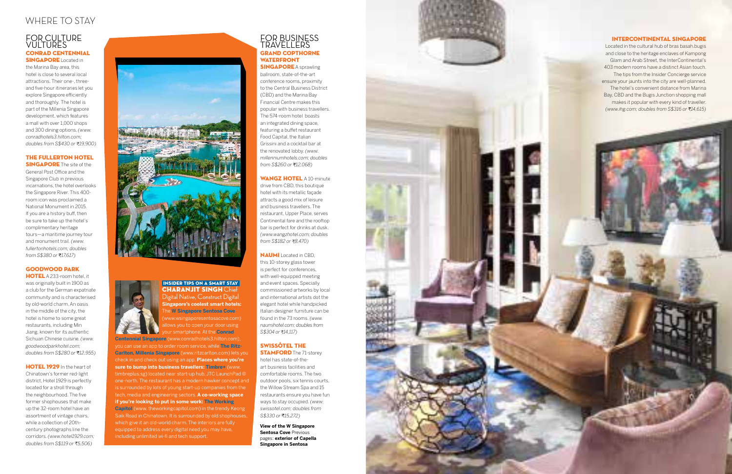Digital Native, Construct Digital **Singapore's coolest smart hotels: ne W Singapore Sentosa Cove** www.wsingaporesentosacove.com) llows you to open your door using your smartphone. At the **Conrad** 

**Centennial Singapore** (www.conradhotels3.hilton.com), you can use an app to order room service, while **The Ritz-Carlton, Millenia Singapore** (www.ritzcarlton.com) lets you check in and check out using an app. **Places where you're sure to bump into business travellers: Timbre+** (www. timbreplus.sg) located near start-up hub, JTC LaunchPad @ one-north. The restaurant has a modern hawker concept and is surrounded by lots of young start-up companies from the tech, media and engineering sectors. **A co-working space if you're looking to put in some work: The Working Capitol** (www. theworkingcapitol.com) in the trendy Keong Saik Road in Chinatown. It is surrounded by old shophouses, which give it an old-world charm. The interiors are fully equipped to address every digital need you may have, including unlimited wi-fi and tech support.

## THE FULLERTON HOTEL **SINGAPORE** The site of the

General Post Office and the Singapore Club in previous incarnations, the hotel overlooks the Singapore River. This 400 room icon was proclaimed a National Monument in 2015. If you are a history buff, then be sure to take up the hotel's complimentary heritage tours—a maritime journey tour and monument trail. *(www. fullertonhotels.com; doubles from S\$380 or* ₹17,617)

## FOR CULTURE VULTURES CONRAD CENTENNIAL

**SINGAPORE Located in** the Marina Bay area, this hotel is close to several local attractions. Their one-, threeand five-hour itineraries let you explore Singapore efficiently and thoroughly. The hotel is part of the Millenia Singapore development, which features a mall with over 1,000 shops and 300 dining options. *(www. conradhotels3.hilton.com; doubles from S\$430 or* ₹19,900)

## FOR BUSINESS TRAVELLERS GRAND COPTHORNE WATERFRONT **SINGAPORE** A sprawling

ballroom, state-of-the-art conference rooms, proximity to the Central Business District (CBD) and the Marina Bay Financial Centre makes this popular with business travellers. The 574-room hotel boasts an integrated dining space, featuring a buffet restaurant Food Capital, the Italian Grissini and a cocktail bar at the renovated lobby. *(www. millenniumhotels.com; doubles from S\$260 or* ₹12,068)

**WANGZ HOTEL A 10-minute** drive from CBD, this boutique hotel with its metallic façade attracts a good mix of leisure and business travellers. The restaurant, Upper Place, serves Continental fare and the rooftop bar is perfect for drinks at dusk. *(www.wangzhotel.com; doubles from S\$182 or ₹8,470)* 

## SWISSÔTEL THE **STAMFORD** The 71-storey

## GOODWOOD PARK

**HOTEL** A 233-room hotel, it was originally built in 1900 as a club for the German expatriate community and is characterised by old-world charm. An oasis in the middle of the city, the hotel is home to some great restaurants, including Min Jiang, known for its authentic Sichuan Chinese cuisine. *(www. goodwoodparkhotel.com; doubles from S\$280 or ₹12,955)* 

## HOTEL 1929 In the heart of

Located in the cultural hub of bras basah.bugis and close to the heritage enclaves of Kampong Glam and Arab Street, the InterContinental's 403 modern rooms have a distinct Asian touch. The tips from the Insider Concierge service ensure your jaunts into the city are well-planned. The hotel's convenient distance from Marina Bay, CBD and the Bugis Junction shopping mall makes it popular with every kind of traveller. *(www.ihg.com; doubles from S\$316 or* ₹14,615)

Chinatown's former red-light district, Hotel 1929 is perfectly located for a stroll through the neighbourhood. The five former shophouses that make up the 32-room hotel have an assortment of vintage chairs, while a collection of 20thcentury photographs line the corridors. *(www.hotel1929.com; doubles from S\$119 or 5,506)*



## INSIDER TIPS ON A SMART STAY **CHARANJIT SINGH Chie**

NAUMI Located in CBD, this 10-storey glass tower is perfect for conferences, with well-equipped meeting and event spaces. Specially commissioned artworks by local and international artists dot the elegant hotel while handpicked Italian designer furniture can be found in the 73 rooms. *(www. naumihotel.com; doubles from S\$304 or 14,117)*

hotel has state-of-theart business facilities and comfortable rooms. The two outdoor pools, six tennis courts, the Willow Stream Spa and 15 restaurants ensure you have fun ways to stay occupied. *(www. swissotel.com; doubles from S\$330 or 15,272)*

# WHERE TO STAY

## INTERCONTINENTAL SINGAPORE

**View of the W Singapore Sentosa Cove** Previous pages: **exterior of Capella Singapore in Sentosa**

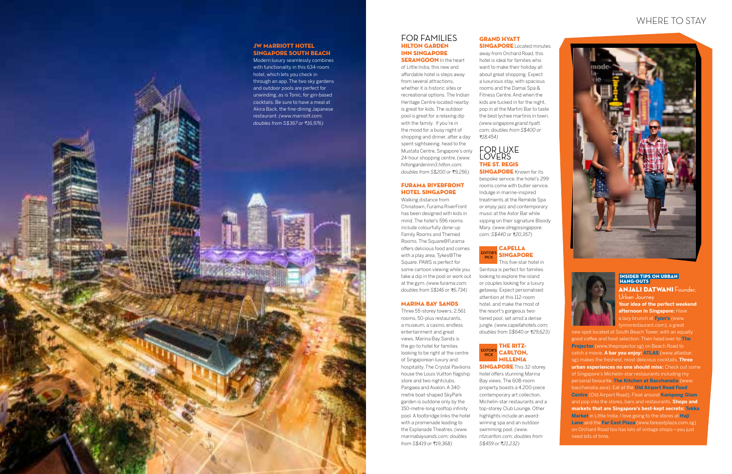## FOR FAMILIES HILTON GARDEN INN SINGAPORE

**SERANGOON** In the heart of Little India, this new and affordable hotel is steps away from several attractions, whether it is historic sites or recreational options. The Indian Heritage Centre located nearby is great for kids. The outdoor pool is great for a relaxing dip with the family. If you're in the mood for a busy night of shopping and dinner, after a day spent sightseeing, head to the Mustafa Centre, Singapore's only 24-hour shopping centre. *(www. hiltongardeninn3.hilton.com; doubles from S\$200 or* ₹9,256)

Walking distance from Chinatown, Furama RiverFront has been designed with kids in mind. The hotel's 596 rooms include colourfully done-up Family Rooms and Themed Rooms. The Square@Furama offers delicious food and comes with a play area, Tykes@The Square. PAWS is perfect for some cartoon viewing while you take a dip in the pool or work out at the gym. *(www.furama.com; doubles from S\$146 or* ₹6,734)

Three 55-storey towers, 2,561 rooms, 50-plus restaurants, a museum, a casino, endless entertainment and great views. Marina Bay Sands is the go-to hotel for families looking to be right at the centre of Singaporean luxury and hospitality. The Crystal Pavilions house the Louis Vuitton flagship store and two nightclubs, Pangaea and Avalon. A 340 metre boat-shaped SkyPark garden is outdone only by the 150-metre-long rooftop infinity pool. A footbridge links the hotel with a promenade leading to the Esplanade Theatres. *(www. marinabaysands.com; doubles from S\$419 or* ₹19,368)

## FURAMA RIVERFRONT HOTEL SINGAPORE

## GRAND HYATT **SINGAPORE** Located minutes

## MARINA BAY SANDS

## FOR LUXE LOVERS THE ST. REGIS **SINGAPORE** Known for its

#### **EDITOR PICK** CAPELLA SINGAPORE This five-star hotel in

#### EDITOR'S **PICK** THE RITZ-CARLTON, MILLENIA

**SINGAPORE** This 32-storey hotel offers stunning Marina Bay views. The 608-room property boasts a 4,200-piece contemporary art collection, Michelin-star restaurants and a top-storey Club Lounge. Other highlights include an awardwinning spa and an outdoor swimming pool. *(www. ritzcarlton.com; doubles from S\$459 or 21,232)* 

**ANJALI DATWANI Founder,** Urban Journey

away from Orchard Road, this hotel is ideal for families who want to make their holiday all about great shopping. Expect a luxurious stay, with spacious rooms and the Damai Spa & Fitness Centre. And when the kids are tucked in for the night, pop in at the Martini Bar to taste the best lychee martinis in town. *(www.singapore.grand.hyatt. com; doubles from S\$400 or 18,454)*

bespoke service, the hotel's 299 rooms come with butler service. Indulge in marine-inspired treatments at the Remède Spa or enjoy jazz and contemporary music at the Astor Bar while sipping on their signature Bloody Mary. *(www.stregissingapore. com; S\$440 or 20,357)*

Sentosa is perfect for families looking to explore the island or couples looking for a luxury getaway. Expect personalised attention at this 112-room hotel, and make the most of the resort's gorgeous twotiered pool, set amid a dense jungle. *(www.capellahotels.com; doubles from S\$640 or 29,623)*

## WHERE TO STAY





 INSIDER TIPS ON URBAN HANG-OUTS

**Your idea of the perfect weekend afternoon in Singapore:** Have a lazy brunch at **Fynn's** (www. fynnsrestaurant.com), a great

new spot located at South Beach Tower, with an equally good coffee and food selection. Then head over to **The Projector** (www.theprojector.sg) on Beach Road to catch a movie. **A bar you enjoy: ATLAS** (www.atlasbar. sg) makes the freshest, most delicious cocktails. **Three urban experiences no one should miss:** Check out some of Singapore's Michelin-star restaurants including my personal favourite, **The Kitchen at Bacchanalia** (www. bacchanalia.asia). Eat at the **Old Airport Road Food Centre** (Old Airport Road). Float around **Kampong Glam** and pop into the stores, bars and restaurants. **Shops and markets that are Singapore's best-kept secrets: Tekka Market** in Little India. I love going to the stores at **Haji Lane** and the **Far East Plaza** (www.fareastplaza.com.sg) on Orchard Road too has lots of vintage shops—you just need lots of time.



Modern luxury seamlessly combines with functionality in this 634-room hotel, which lets you check in through an app. The two sky gardens and outdoor pools are perfect for unwinding, as is Tonic, for gin-based cocktails. Be sure to have a meal at Akira Back, the fine-dining Japanese restaurant. *(www.marriott.com; doubles from S\$367 or 16,976)*